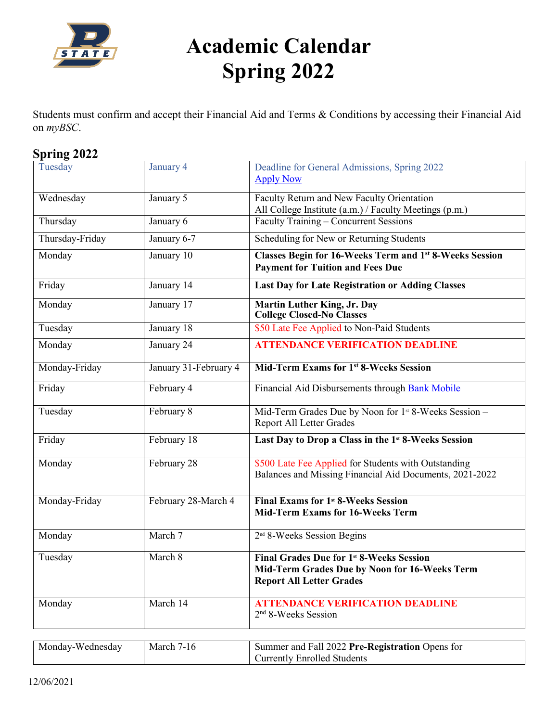

## **Academic Calendar Spring 2022**

Students must confirm and accept their Financial Aid and Terms & Conditions by accessing their Financial Aid on *myBSC*.

## **Spring 2022**

| Tuesday         | January 4             | Deadline for General Admissions, Spring 2022                                                                                        |
|-----------------|-----------------------|-------------------------------------------------------------------------------------------------------------------------------------|
|                 |                       | <b>Apply Now</b>                                                                                                                    |
| Wednesday       | January 5             | Faculty Return and New Faculty Orientation                                                                                          |
| Thursday        | January 6             | All College Institute (a.m.) / Faculty Meetings (p.m.)<br>Faculty Training - Concurrent Sessions                                    |
|                 |                       |                                                                                                                                     |
| Thursday-Friday | January 6-7           | Scheduling for New or Returning Students                                                                                            |
| Monday          | January 10            | Classes Begin for 16-Weeks Term and 1st 8-Weeks Session                                                                             |
|                 |                       | <b>Payment for Tuition and Fees Due</b>                                                                                             |
| Friday          | January 14            | <b>Last Day for Late Registration or Adding Classes</b>                                                                             |
| Monday          | January 17            | <b>Martin Luther King, Jr. Day</b>                                                                                                  |
|                 |                       | <b>College Closed-No Classes</b>                                                                                                    |
| Tuesday         | January 18            | \$50 Late Fee Applied to Non-Paid Students                                                                                          |
| Monday          | January 24            | <b>ATTENDANCE VERIFICATION DEADLINE</b>                                                                                             |
| Monday-Friday   | January 31-February 4 | <b>Mid-Term Exams for 1st 8-Weeks Session</b>                                                                                       |
| Friday          | February 4            | Financial Aid Disbursements through Bank Mobile                                                                                     |
| Tuesday         | February 8            | Mid-Term Grades Due by Noon for 1st 8-Weeks Session -<br><b>Report All Letter Grades</b>                                            |
| Friday          | February 18           | Last Day to Drop a Class in the 1st 8-Weeks Session                                                                                 |
| Monday          | February 28           | \$500 Late Fee Applied for Students with Outstanding<br>Balances and Missing Financial Aid Documents, 2021-2022                     |
| Monday-Friday   | February 28-March 4   | Final Exams for 1 <sup>st</sup> 8-Weeks Session                                                                                     |
|                 |                       | <b>Mid-Term Exams for 16-Weeks Term</b>                                                                                             |
| Monday          | March 7               | 2 <sup>nd</sup> 8-Weeks Session Begins                                                                                              |
| Tuesday         | March 8               | <b>Final Grades Due for 1st 8-Weeks Session</b><br>Mid-Term Grades Due by Noon for 16-Weeks Term<br><b>Report All Letter Grades</b> |
| Monday          | March 14              | <b>ATTENDANCE VERIFICATION DEADLINE</b><br>2 <sup>nd</sup> 8-Weeks Session                                                          |

| Monday-Wednesday | March $7-16$ | Summer and Fall 2022 Pre-Registration Opens for |
|------------------|--------------|-------------------------------------------------|
|                  |              | Currently Enrolled Students                     |